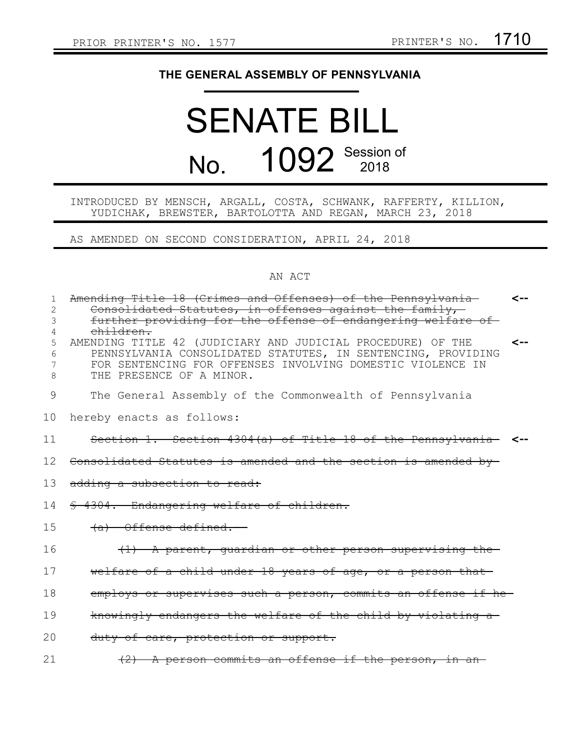## **THE GENERAL ASSEMBLY OF PENNSYLVANIA**

## SENATE BILL No. 1092 Session of

## INTRODUCED BY MENSCH, ARGALL, COSTA, SCHWANK, RAFFERTY, KILLION, YUDICHAK, BREWSTER, BARTOLOTTA AND REGAN, MARCH 23, 2018

AS AMENDED ON SECOND CONSIDERATION, APRIL 24, 2018

## AN ACT

| 1               | Amending Title 18 (Crimes and Offenses) of the Pennsylvania                                                           | $\leftarrow$ |
|-----------------|-----------------------------------------------------------------------------------------------------------------------|--------------|
| 2<br>3          | Consolidated Statutes, in offenses against the family,<br>further providing for the offense of endangering welfare of |              |
| 4               | <del>children.</del>                                                                                                  |              |
| 5               | AMENDING TITLE 42 (JUDICIARY AND JUDICIAL PROCEDURE) OF THE                                                           | $\leftarrow$ |
| 6               | PENNSYLVANIA CONSOLIDATED STATUTES, IN SENTENCING, PROVIDING                                                          |              |
| 7               | FOR SENTENCING FOR OFFENSES INVOLVING DOMESTIC VIOLENCE IN                                                            |              |
| 8               | THE PRESENCE OF A MINOR.                                                                                              |              |
| 9               | The General Assembly of the Commonwealth of Pennsylvania                                                              |              |
| 10              | hereby enacts as follows:                                                                                             |              |
| 11              | Section 1. Section 4304(a) of Title 18 of the Pennsylvania <-                                                         |              |
| 12 <sub>1</sub> | Consolidated Statutes is amended and the section is amended by-                                                       |              |
| 13              | adding a subsection to read:                                                                                          |              |
| 14              | § 4304. Endangering welfare of children.                                                                              |              |
| 1.5             | (a) Offense defined.--                                                                                                |              |
| 16              | (1) A parent, quardian or other person supervising the                                                                |              |
| 17              | welfare of a child under 18 years of age, or a person that-                                                           |              |
| 18              | employs or supervises such a person, commits an offense if he-                                                        |              |
| 19              | knowingly endangers the welfare of the child by violating a                                                           |              |
| 20              | duty of care, protection or support.                                                                                  |              |
| 21              | (2) A person commits an offense if the person, in an-                                                                 |              |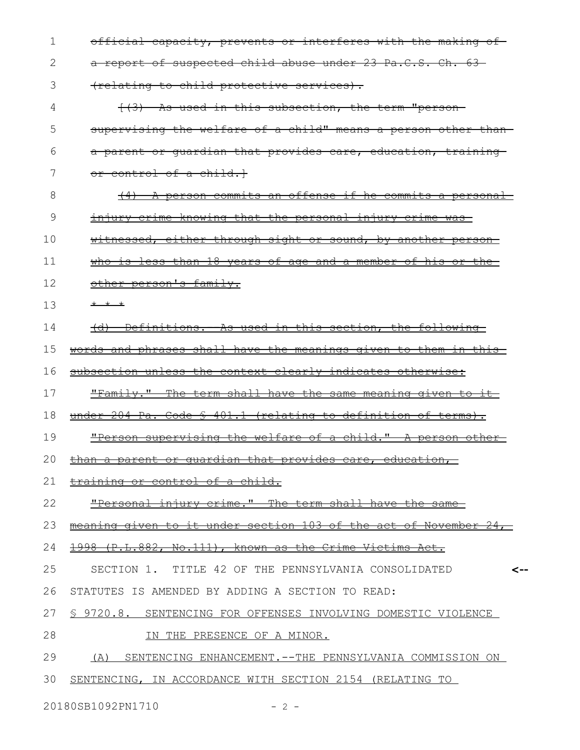| 1  | official capacity, prevents or interferes with the making of                  |
|----|-------------------------------------------------------------------------------|
| 2  | a report of suspected child abuse under 23 Pa.C.S. Ch. 63-                    |
| 3  | (relating to child protective services).                                      |
| 4  | (3) As used in this subsection, the term "person-                             |
| 5  | supervising the welfare of a child" means a person other than-                |
| 6  | a parent or guardian that provides care, education, training-                 |
| 7  | or control of a child.                                                        |
| 8  | A person commits an offense if he commits a personal                          |
| 9  | <u>injury crime knowing that the personal injury crime was-</u>               |
| 10 | witnessed, either through sight or sound, by another person-                  |
| 11 | who is less than 18 years of age and a member of his or the                   |
| 12 | other person's family.                                                        |
| 13 | * * *                                                                         |
| 14 | (d) Definitions. As used in this section, the following                       |
| 15 | words and phrases shall have the meanings given to them in this-              |
| 16 | subsection unless the context clearly indicates otherwise:                    |
| 17 | <u>"Family." The term shall have the same meaning given to it-</u>            |
| 18 | under 204 Pa. Code § 401.1 (relating to definition of terms).                 |
| 19 | "Person supervising the welfare of a child." A person other-                  |
| 20 | <del>that</del><br><del>provides</del><br><del>care,</del><br><del>alan</del> |
| 21 | training or control of a child.                                               |
| 22 | "Personal injury crime." The term shall have the<br><del>-same</del>          |
| 23 | meaning given to it under section 103 of the act of November                  |
| 24 | 1998 (P.L.882, No.111), known as the Crime Victims Act.                       |
| 25 | SECTION 1. TITLE 42 OF THE PENNSYLVANIA CONSOLIDATED                          |
| 26 | STATUTES IS AMENDED BY ADDING A SECTION TO READ:                              |
| 27 | § 9720.8. SENTENCING FOR OFFENSES INVOLVING DOMESTIC VIOLENCE                 |
| 28 | IN THE PRESENCE OF A MINOR.                                                   |
| 29 | (A) SENTENCING ENHANCEMENT.--THE PENNSYLVANIA COMMISSION ON                   |
| 30 | SENTENCING, IN ACCORDANCE WITH SECTION 2154 (RELATING TO                      |
|    |                                                                               |

20180SB1092PN1710 - 2 -